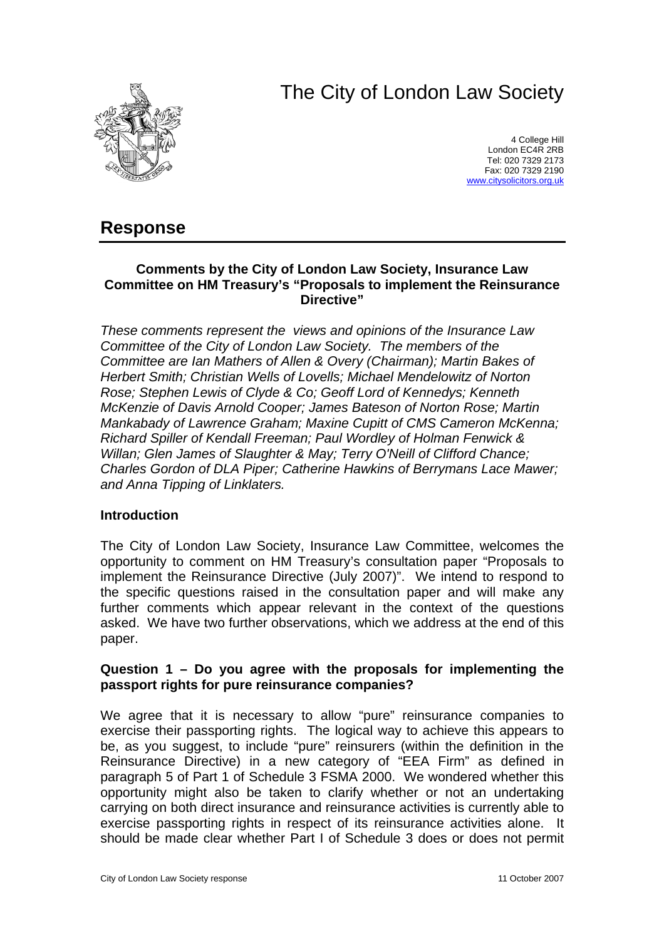# The City of London Law Society



4 College Hill London EC4R 2RB Tel: 020 7329 2173 Fax: 020 7329 2190 [www.citysolicitors.org.uk](http://www.citysolicitors.org.uk/)

# **Response**

#### **Comments by the City of London Law Society, Insurance Law Committee on HM Treasury's "Proposals to implement the Reinsurance Directive"**

*These comments represent the views and opinions of the Insurance Law Committee of the City of London Law Society. The members of the Committee are Ian Mathers of Allen & Overy (Chairman); Martin Bakes of Herbert Smith; Christian Wells of Lovells; Michael Mendelowitz of Norton Rose; Stephen Lewis of Clyde & Co; Geoff Lord of Kennedys; Kenneth McKenzie of Davis Arnold Cooper; James Bateson of Norton Rose; Martin Mankabady of Lawrence Graham; Maxine Cupitt of CMS Cameron McKenna; Richard Spiller of Kendall Freeman; Paul Wordley of Holman Fenwick & Willan; Glen James of Slaughter & May; Terry O'Neill of Clifford Chance; Charles Gordon of DLA Piper; Catherine Hawkins of Berrymans Lace Mawer; and Anna Tipping of Linklaters.* 

#### **Introduction**

The City of London Law Society, Insurance Law Committee, welcomes the opportunity to comment on HM Treasury's consultation paper "Proposals to implement the Reinsurance Directive (July 2007)". We intend to respond to the specific questions raised in the consultation paper and will make any further comments which appear relevant in the context of the questions asked. We have two further observations, which we address at the end of this paper.

#### **Question 1 – Do you agree with the proposals for implementing the passport rights for pure reinsurance companies?**

We agree that it is necessary to allow "pure" reinsurance companies to exercise their passporting rights. The logical way to achieve this appears to be, as you suggest, to include "pure" reinsurers (within the definition in the Reinsurance Directive) in a new category of "EEA Firm" as defined in paragraph 5 of Part 1 of Schedule 3 FSMA 2000. We wondered whether this opportunity might also be taken to clarify whether or not an undertaking carrying on both direct insurance and reinsurance activities is currently able to exercise passporting rights in respect of its reinsurance activities alone. It should be made clear whether Part I of Schedule 3 does or does not permit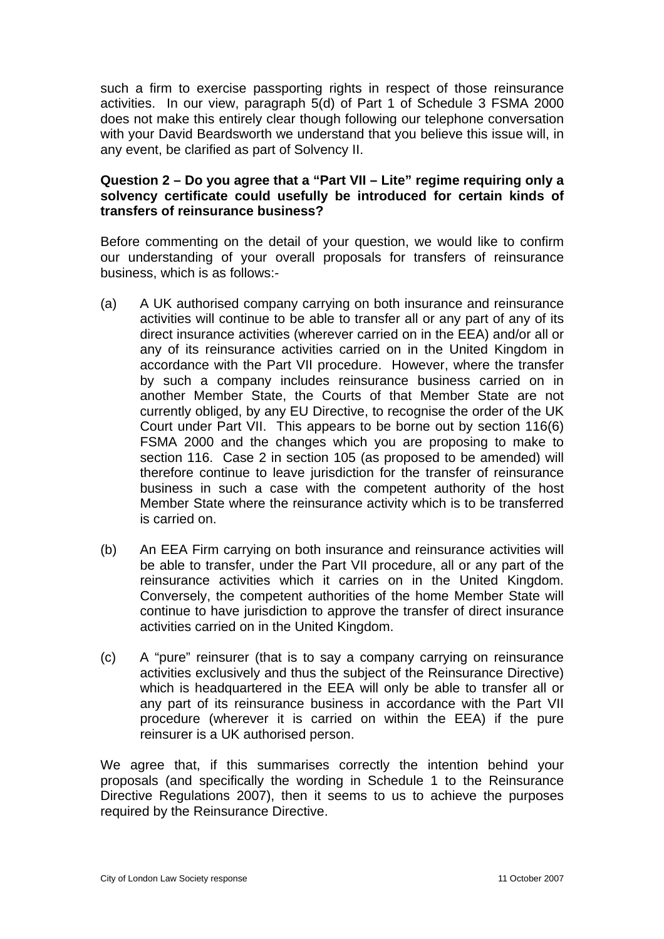such a firm to exercise passporting rights in respect of those reinsurance activities. In our view, paragraph 5(d) of Part 1 of Schedule 3 FSMA 2000 does not make this entirely clear though following our telephone conversation with your David Beardsworth we understand that you believe this issue will, in any event, be clarified as part of Solvency II.

# **Question 2 – Do you agree that a "Part VII – Lite" regime requiring only a solvency certificate could usefully be introduced for certain kinds of transfers of reinsurance business?**

Before commenting on the detail of your question, we would like to confirm our understanding of your overall proposals for transfers of reinsurance business, which is as follows:-

- (a) A UK authorised company carrying on both insurance and reinsurance activities will continue to be able to transfer all or any part of any of its direct insurance activities (wherever carried on in the EEA) and/or all or any of its reinsurance activities carried on in the United Kingdom in accordance with the Part VII procedure. However, where the transfer by such a company includes reinsurance business carried on in another Member State, the Courts of that Member State are not currently obliged, by any EU Directive, to recognise the order of the UK Court under Part VII. This appears to be borne out by section 116(6) FSMA 2000 and the changes which you are proposing to make to section 116. Case 2 in section 105 (as proposed to be amended) will therefore continue to leave jurisdiction for the transfer of reinsurance business in such a case with the competent authority of the host Member State where the reinsurance activity which is to be transferred is carried on.
- (b) An EEA Firm carrying on both insurance and reinsurance activities will be able to transfer, under the Part VII procedure, all or any part of the reinsurance activities which it carries on in the United Kingdom. Conversely, the competent authorities of the home Member State will continue to have jurisdiction to approve the transfer of direct insurance activities carried on in the United Kingdom.
- (c) A "pure" reinsurer (that is to say a company carrying on reinsurance activities exclusively and thus the subject of the Reinsurance Directive) which is headquartered in the EEA will only be able to transfer all or any part of its reinsurance business in accordance with the Part VII procedure (wherever it is carried on within the EEA) if the pure reinsurer is a UK authorised person.

We agree that, if this summarises correctly the intention behind your proposals (and specifically the wording in Schedule 1 to the Reinsurance Directive Regulations 2007), then it seems to us to achieve the purposes required by the Reinsurance Directive.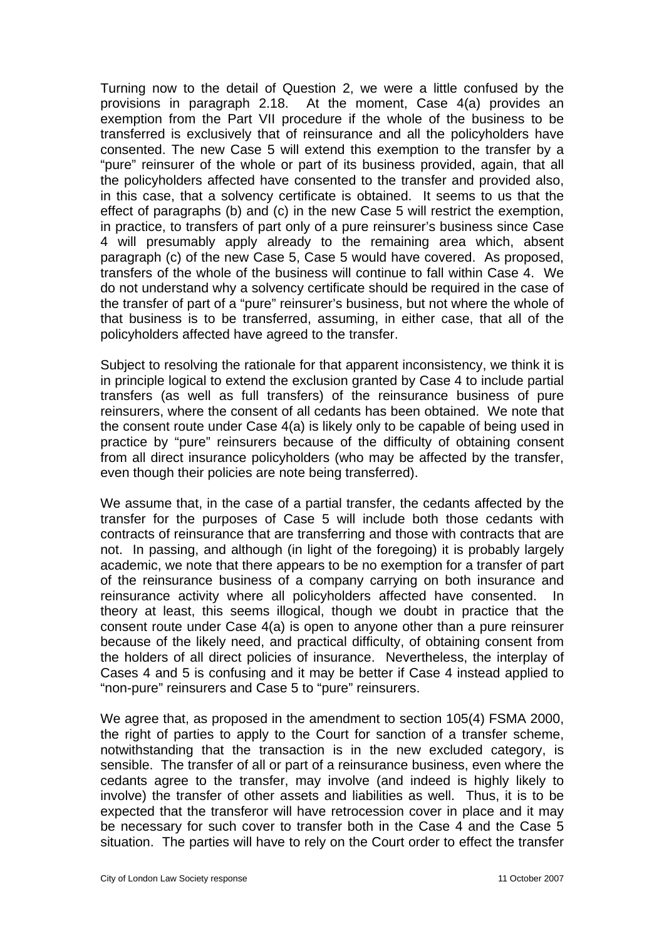Turning now to the detail of Question 2, we were a little confused by the provisions in paragraph 2.18. At the moment, Case 4(a) provides an exemption from the Part VII procedure if the whole of the business to be transferred is exclusively that of reinsurance and all the policyholders have consented. The new Case 5 will extend this exemption to the transfer by a "pure" reinsurer of the whole or part of its business provided, again, that all the policyholders affected have consented to the transfer and provided also, in this case, that a solvency certificate is obtained. It seems to us that the effect of paragraphs (b) and (c) in the new Case 5 will restrict the exemption, in practice, to transfers of part only of a pure reinsurer's business since Case 4 will presumably apply already to the remaining area which, absent paragraph (c) of the new Case 5, Case 5 would have covered. As proposed, transfers of the whole of the business will continue to fall within Case 4. We do not understand why a solvency certificate should be required in the case of the transfer of part of a "pure" reinsurer's business, but not where the whole of that business is to be transferred, assuming, in either case, that all of the policyholders affected have agreed to the transfer.

Subject to resolving the rationale for that apparent inconsistency, we think it is in principle logical to extend the exclusion granted by Case 4 to include partial transfers (as well as full transfers) of the reinsurance business of pure reinsurers, where the consent of all cedants has been obtained. We note that the consent route under Case 4(a) is likely only to be capable of being used in practice by "pure" reinsurers because of the difficulty of obtaining consent from all direct insurance policyholders (who may be affected by the transfer, even though their policies are note being transferred).

We assume that, in the case of a partial transfer, the cedants affected by the transfer for the purposes of Case 5 will include both those cedants with contracts of reinsurance that are transferring and those with contracts that are not. In passing, and although (in light of the foregoing) it is probably largely academic, we note that there appears to be no exemption for a transfer of part of the reinsurance business of a company carrying on both insurance and reinsurance activity where all policyholders affected have consented. In theory at least, this seems illogical, though we doubt in practice that the consent route under Case 4(a) is open to anyone other than a pure reinsurer because of the likely need, and practical difficulty, of obtaining consent from the holders of all direct policies of insurance. Nevertheless, the interplay of Cases 4 and 5 is confusing and it may be better if Case 4 instead applied to "non-pure" reinsurers and Case 5 to "pure" reinsurers.

We agree that, as proposed in the amendment to section 105(4) FSMA 2000, the right of parties to apply to the Court for sanction of a transfer scheme, notwithstanding that the transaction is in the new excluded category, is sensible. The transfer of all or part of a reinsurance business, even where the cedants agree to the transfer, may involve (and indeed is highly likely to involve) the transfer of other assets and liabilities as well. Thus, it is to be expected that the transferor will have retrocession cover in place and it may be necessary for such cover to transfer both in the Case 4 and the Case 5 situation. The parties will have to rely on the Court order to effect the transfer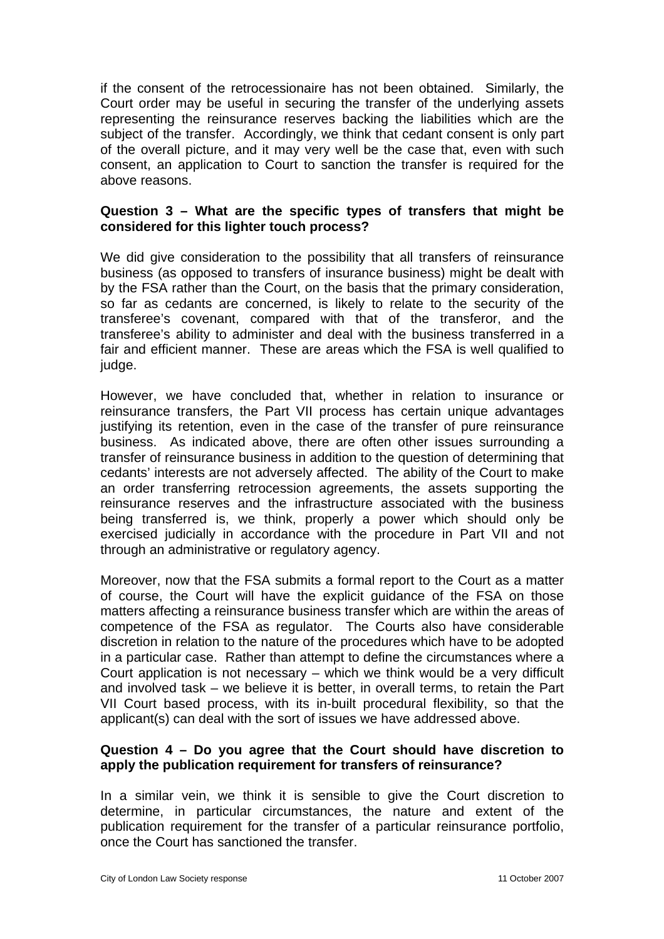if the consent of the retrocessionaire has not been obtained. Similarly, the Court order may be useful in securing the transfer of the underlying assets representing the reinsurance reserves backing the liabilities which are the subject of the transfer. Accordingly, we think that cedant consent is only part of the overall picture, and it may very well be the case that, even with such consent, an application to Court to sanction the transfer is required for the above reasons.

# **Question 3 – What are the specific types of transfers that might be considered for this lighter touch process?**

We did give consideration to the possibility that all transfers of reinsurance business (as opposed to transfers of insurance business) might be dealt with by the FSA rather than the Court, on the basis that the primary consideration, so far as cedants are concerned, is likely to relate to the security of the transferee's covenant, compared with that of the transferor, and the transferee's ability to administer and deal with the business transferred in a fair and efficient manner. These are areas which the FSA is well qualified to judge.

However, we have concluded that, whether in relation to insurance or reinsurance transfers, the Part VII process has certain unique advantages justifying its retention, even in the case of the transfer of pure reinsurance business. As indicated above, there are often other issues surrounding a transfer of reinsurance business in addition to the question of determining that cedants' interests are not adversely affected. The ability of the Court to make an order transferring retrocession agreements, the assets supporting the reinsurance reserves and the infrastructure associated with the business being transferred is, we think, properly a power which should only be exercised judicially in accordance with the procedure in Part VII and not through an administrative or regulatory agency.

Moreover, now that the FSA submits a formal report to the Court as a matter of course, the Court will have the explicit guidance of the FSA on those matters affecting a reinsurance business transfer which are within the areas of competence of the FSA as regulator. The Courts also have considerable discretion in relation to the nature of the procedures which have to be adopted in a particular case. Rather than attempt to define the circumstances where a Court application is not necessary – which we think would be a very difficult and involved task – we believe it is better, in overall terms, to retain the Part VII Court based process, with its in-built procedural flexibility, so that the applicant(s) can deal with the sort of issues we have addressed above.

# **Question 4 – Do you agree that the Court should have discretion to apply the publication requirement for transfers of reinsurance?**

In a similar vein, we think it is sensible to give the Court discretion to determine, in particular circumstances, the nature and extent of the publication requirement for the transfer of a particular reinsurance portfolio, once the Court has sanctioned the transfer.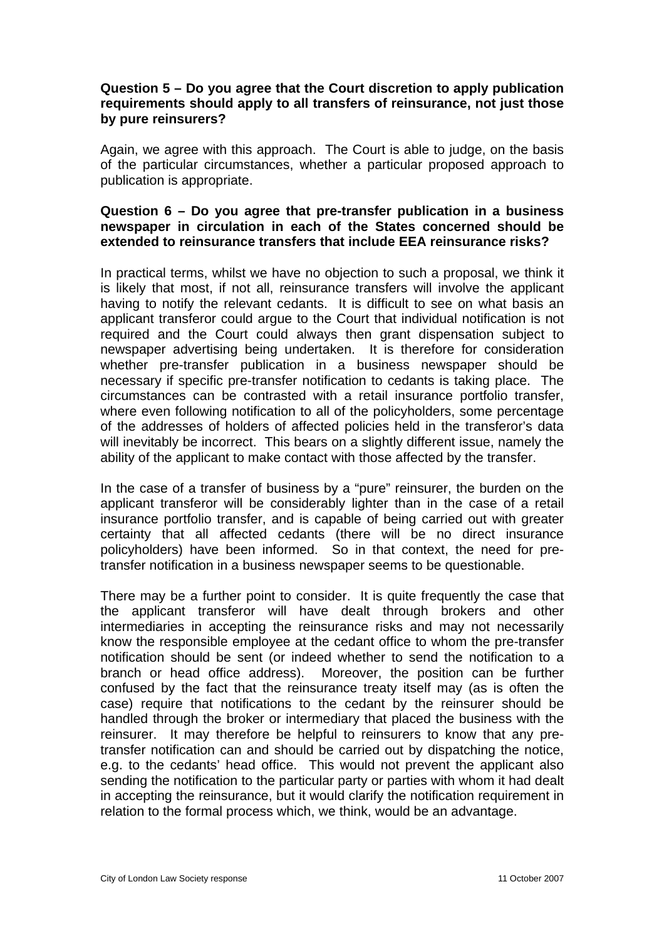#### **Question 5 – Do you agree that the Court discretion to apply publication requirements should apply to all transfers of reinsurance, not just those by pure reinsurers?**

Again, we agree with this approach. The Court is able to judge, on the basis of the particular circumstances, whether a particular proposed approach to publication is appropriate.

## **Question 6 – Do you agree that pre-transfer publication in a business newspaper in circulation in each of the States concerned should be extended to reinsurance transfers that include EEA reinsurance risks?**

In practical terms, whilst we have no objection to such a proposal, we think it is likely that most, if not all, reinsurance transfers will involve the applicant having to notify the relevant cedants. It is difficult to see on what basis an applicant transferor could argue to the Court that individual notification is not required and the Court could always then grant dispensation subject to newspaper advertising being undertaken. It is therefore for consideration whether pre-transfer publication in a business newspaper should be necessary if specific pre-transfer notification to cedants is taking place. The circumstances can be contrasted with a retail insurance portfolio transfer, where even following notification to all of the policyholders, some percentage of the addresses of holders of affected policies held in the transferor's data will inevitably be incorrect. This bears on a slightly different issue, namely the ability of the applicant to make contact with those affected by the transfer.

In the case of a transfer of business by a "pure" reinsurer, the burden on the applicant transferor will be considerably lighter than in the case of a retail insurance portfolio transfer, and is capable of being carried out with greater certainty that all affected cedants (there will be no direct insurance policyholders) have been informed. So in that context, the need for pretransfer notification in a business newspaper seems to be questionable.

There may be a further point to consider. It is quite frequently the case that the applicant transferor will have dealt through brokers and other intermediaries in accepting the reinsurance risks and may not necessarily know the responsible employee at the cedant office to whom the pre-transfer notification should be sent (or indeed whether to send the notification to a branch or head office address). Moreover, the position can be further confused by the fact that the reinsurance treaty itself may (as is often the case) require that notifications to the cedant by the reinsurer should be handled through the broker or intermediary that placed the business with the reinsurer. It may therefore be helpful to reinsurers to know that any pretransfer notification can and should be carried out by dispatching the notice, e.g. to the cedants' head office. This would not prevent the applicant also sending the notification to the particular party or parties with whom it had dealt in accepting the reinsurance, but it would clarify the notification requirement in relation to the formal process which, we think, would be an advantage.